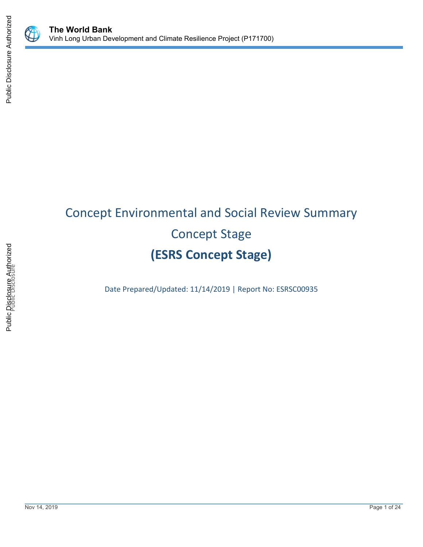



# Concept Environmental and Social Review Summary Concept Stage **(ESRS Concept Stage)**

Date Prepared/Updated: 11/14/2019 | Report No: ESRSC00935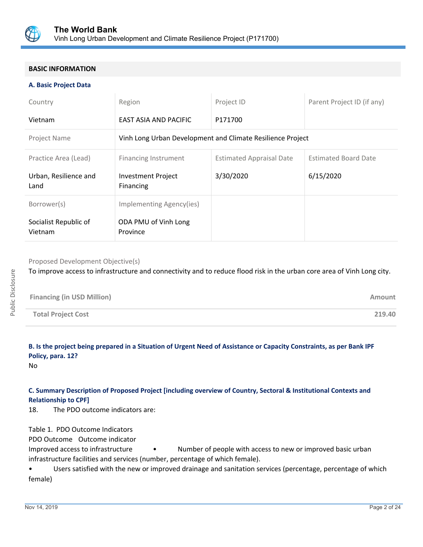

## **BASIC INFORMATION**

#### **A. Basic Project Data**

| Country                          | Region                                                     | Project ID                      | Parent Project ID (if any)  |
|----------------------------------|------------------------------------------------------------|---------------------------------|-----------------------------|
| Vietnam                          | EAST ASIA AND PACIFIC                                      | P171700                         |                             |
| <b>Project Name</b>              | Vinh Long Urban Development and Climate Resilience Project |                                 |                             |
| Practice Area (Lead)             | Financing Instrument                                       | <b>Estimated Appraisal Date</b> | <b>Estimated Board Date</b> |
| Urban, Resilience and<br>Land    | <b>Investment Project</b><br>Financing                     | 3/30/2020                       | 6/15/2020                   |
| Borrower(s)                      | Implementing Agency(ies)                                   |                                 |                             |
| Socialist Republic of<br>Vietnam | ODA PMU of Vinh Long<br>Province                           |                                 |                             |

Proposed Development Objective(s)

To improve access to infrastructure and connectivity and to reduce flood risk in the urban core area of Vinh Long city.

| <b>Financing (in USD Million)</b> | Amount |
|-----------------------------------|--------|
| <b>Total Project Cost</b>         | 219.40 |

**B. Is the project being prepared in a Situation of Urgent Need of Assistance or Capacity Constraints, as per Bank IPF Policy, para. 12?**

No

# **C. Summary Description of Proposed Project [including overview of Country, Sectoral & Institutional Contexts and Relationship to CPF]**

18. The PDO outcome indicators are:

Table 1. PDO Outcome Indicators

PDO Outcome Outcome indicator

Improved access to infrastructure • Number of people with access to new or improved basic urban infrastructure facilities and services (number, percentage of which female).

• Users satisfied with the new or improved drainage and sanitation services (percentage, percentage of which female)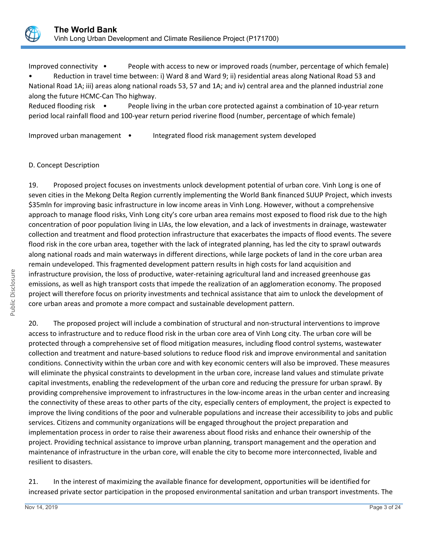

Improved connectivity • People with access to new or improved roads (number, percentage of which female) • Reduction in travel time between: i) Ward 8 and Ward 9; ii) residential areas along National Road 53 and

National Road 1A; iii) areas along national roads 53, 57 and 1A; and iv) central area and the planned industrial zone along the future HCMC-Can Tho highway.

Reduced flooding risk • People living in the urban core protected against a combination of 10-year return period local rainfall flood and 100-year return period riverine flood (number, percentage of which female)

Improved urban management • Integrated flood risk management system developed

# D. Concept Description

19. Proposed project focuses on investments unlock development potential of urban core. Vinh Long is one of seven cities in the Mekong Delta Region currently implementing the World Bank financed SUUP Project, which invests \$35mln for improving basic infrastructure in low income areas in Vinh Long. However, without a comprehensive approach to manage flood risks, Vinh Long city's core urban area remains most exposed to flood risk due to the high concentration of poor population living in LIAs, the low elevation, and a lack of investments in drainage, wastewater collection and treatment and flood protection infrastructure that exacerbates the impacts of flood events. The severe flood risk in the core urban area, together with the lack of integrated planning, has led the city to sprawl outwards along national roads and main waterways in different directions, while large pockets of land in the core urban area remain undeveloped. This fragmented development pattern results in high costs for land acquisition and infrastructure provision, the loss of productive, water-retaining agricultural land and increased greenhouse gas emissions, as well as high transport costs that impede the realization of an agglomeration economy. The proposed project will therefore focus on priority investments and technical assistance that aim to unlock the development of core urban areas and promote a more compact and sustainable development pattern.

20. The proposed project will include a combination of structural and non-structural interventions to improve access to infrastructure and to reduce flood risk in the urban core area of Vinh Long city. The urban core will be protected through a comprehensive set of flood mitigation measures, including flood control systems, wastewater collection and treatment and nature-based solutions to reduce flood risk and improve environmental and sanitation conditions. Connectivity within the urban core and with key economic centers will also be improved. These measures will eliminate the physical constraints to development in the urban core, increase land values and stimulate private capital investments, enabling the redevelopment of the urban core and reducing the pressure for urban sprawl. By providing comprehensive improvement to infrastructures in the low-income areas in the urban center and increasing the connectivity of these areas to other parts of the city, especially centers of employment, the project is expected to improve the living conditions of the poor and vulnerable populations and increase their accessibility to jobs and public services. Citizens and community organizations will be engaged throughout the project preparation and implementation process in order to raise their awareness about flood risks and enhance their ownership of the project. Providing technical assistance to improve urban planning, transport management and the operation and maintenance of infrastructure in the urban core, will enable the city to become more interconnected, livable and resilient to disasters.

21. In the interest of maximizing the available finance for development, opportunities will be identified for increased private sector participation in the proposed environmental sanitation and urban transport investments. The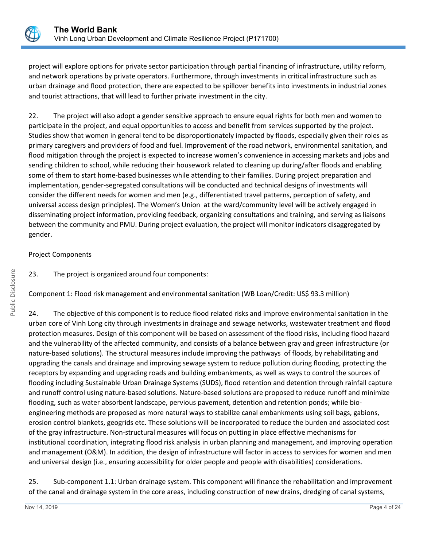

project will explore options for private sector participation through partial financing of infrastructure, utility reform, and network operations by private operators. Furthermore, through investments in critical infrastructure such as urban drainage and flood protection, there are expected to be spillover benefits into investments in industrial zones and tourist attractions, that will lead to further private investment in the city.

22. The project will also adopt a gender sensitive approach to ensure equal rights for both men and women to participate in the project, and equal opportunities to access and benefit from services supported by the project. Studies show that women in general tend to be disproportionately impacted by floods, especially given their roles as primary caregivers and providers of food and fuel. Improvement of the road network, environmental sanitation, and flood mitigation through the project is expected to increase women's convenience in accessing markets and jobs and sending children to school, while reducing their housework related to cleaning up during/after floods and enabling some of them to start home-based businesses while attending to their families. During project preparation and implementation, gender-segregated consultations will be conducted and technical designs of investments will consider the different needs for women and men (e.g., differentiated travel patterns, perception of safety, and universal access design principles). The Women's Union at the ward/community level will be actively engaged in disseminating project information, providing feedback, organizing consultations and training, and serving as liaisons between the community and PMU. During project evaluation, the project will monitor indicators disaggregated by gender.

# Project Components

23. The project is organized around four components:

Component 1: Flood risk management and environmental sanitation (WB Loan/Credit: US\$ 93.3 million)

24. The objective of this component is to reduce flood related risks and improve environmental sanitation in the urban core of Vinh Long city through investments in drainage and sewage networks, wastewater treatment and flood protection measures. Design of this component will be based on assessment of the flood risks, including flood hazard and the vulnerability of the affected community, and consists of a balance between gray and green infrastructure (or nature-based solutions). The structural measures include improving the pathways of floods, by rehabilitating and upgrading the canals and drainage and improving sewage system to reduce pollution during flooding, protecting the receptors by expanding and upgrading roads and building embankments, as well as ways to control the sources of flooding including Sustainable Urban Drainage Systems (SUDS), flood retention and detention through rainfall capture and runoff control using nature-based solutions. Nature-based solutions are proposed to reduce runoff and minimize flooding, such as water absorbent landscape, pervious pavement, detention and retention ponds; while bioengineering methods are proposed as more natural ways to stabilize canal embankments using soil bags, gabions, erosion control blankets, geogrids etc. These solutions will be incorporated to reduce the burden and associated cost of the gray infrastructure. Non-structural measures will focus on putting in place effective mechanisms for institutional coordination, integrating flood risk analysis in urban planning and management, and improving operation and management (O&M). In addition, the design of infrastructure will factor in access to services for women and men and universal design (i.e., ensuring accessibility for older people and people with disabilities) considerations.

25. Sub-component 1.1: Urban drainage system. This component will finance the rehabilitation and improvement of the canal and drainage system in the core areas, including construction of new drains, dredging of canal systems,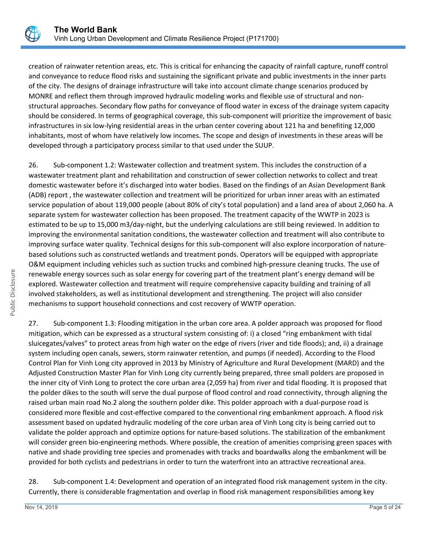

creation of rainwater retention areas, etc. This is critical for enhancing the capacity of rainfall capture, runoff control and conveyance to reduce flood risks and sustaining the significant private and public investments in the inner parts of the city. The designs of drainage infrastructure will take into account climate change scenarios produced by MONRE and reflect them through improved hydraulic modeling works and flexible use of structural and nonstructural approaches. Secondary flow paths for conveyance of flood water in excess of the drainage system capacity should be considered. In terms of geographical coverage, this sub-component will prioritize the improvement of basic infrastructures in six low-lying residential areas in the urban center covering about 121 ha and benefiting 12,000 inhabitants, most of whom have relatively low incomes. The scope and design of investments in these areas will be developed through a participatory process similar to that used under the SUUP.

26. Sub-component 1.2: Wastewater collection and treatment system. This includes the construction of a wastewater treatment plant and rehabilitation and construction of sewer collection networks to collect and treat domestic wastewater before it's discharged into water bodies. Based on the findings of an Asian Development Bank (ADB) report , the wastewater collection and treatment will be prioritized for urban inner areas with an estimated service population of about 119,000 people (about 80% of city's total population) and a land area of about 2,060 ha. A separate system for wastewater collection has been proposed. The treatment capacity of the WWTP in 2023 is estimated to be up to 15,000 m3/day-night, but the underlying calculations are still being reviewed. In addition to improving the environmental sanitation conditions, the wastewater collection and treatment will also contribute to improving surface water quality. Technical designs for this sub-component will also explore incorporation of naturebased solutions such as constructed wetlands and treatment ponds. Operators will be equipped with appropriate O&M equipment including vehicles such as suction trucks and combined high-pressure cleaning trucks. The use of renewable energy sources such as solar energy for covering part of the treatment plant's energy demand will be explored. Wastewater collection and treatment will require comprehensive capacity building and training of all involved stakeholders, as well as institutional development and strengthening. The project will also consider mechanisms to support household connections and cost recovery of WWTP operation.

27. Sub-component 1.3: Flooding mitigation in the urban core area. A polder approach was proposed for flood mitigation, which can be expressed as a structural system consisting of: i) a closed "ring embankment with tidal sluicegates/valves" to protect areas from high water on the edge of rivers (river and tide floods); and, ii) a drainage system including open canals, sewers, storm rainwater retention, and pumps (if needed). According to the Flood Control Plan for Vinh Long city approved in 2013 by Ministry of Agriculture and Rural Development (MARD) and the Adjusted Construction Master Plan for Vinh Long city currently being prepared, three small polders are proposed in the inner city of Vinh Long to protect the core urban area (2,059 ha) from river and tidal flooding. It is proposed that the polder dikes to the south will serve the dual purpose of flood control and road connectivity, through aligning the raised urban main road No.2 along the southern polder dike. This polder approach with a dual-purpose road is considered more flexible and cost-effective compared to the conventional ring embankment approach. A flood risk assessment based on updated hydraulic modeling of the core urban area of Vinh Long city is being carried out to validate the polder approach and optimize options for nature-based solutions. The stabilization of the embankment will consider green bio-engineering methods. Where possible, the creation of amenities comprising green spaces with native and shade providing tree species and promenades with tracks and boardwalks along the embankment will be provided for both cyclists and pedestrians in order to turn the waterfront into an attractive recreational area.

28. Sub-component 1.4: Development and operation of an integrated flood risk management system in the city. Currently, there is considerable fragmentation and overlap in flood risk management responsibilities among key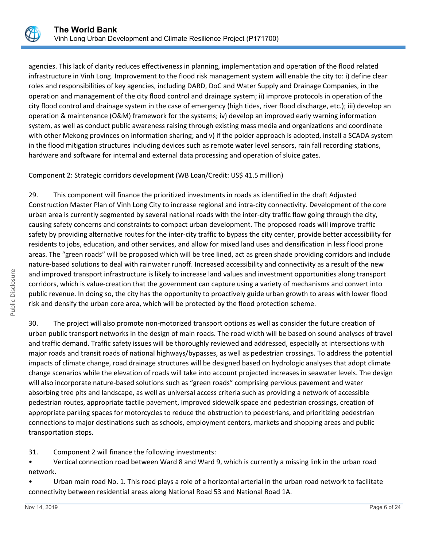

agencies. This lack of clarity reduces effectiveness in planning, implementation and operation of the flood related infrastructure in Vinh Long. Improvement to the flood risk management system will enable the city to: i) define clear roles and responsibilities of key agencies, including DARD, DoC and Water Supply and Drainage Companies, in the operation and management of the city flood control and drainage system; ii) improve protocols in operation of the city flood control and drainage system in the case of emergency (high tides, river flood discharge, etc.); iii) develop an operation & maintenance (O&M) framework for the systems; iv) develop an improved early warning information system, as well as conduct public awareness raising through existing mass media and organizations and coordinate with other Mekong provinces on information sharing; and v) if the polder approach is adopted, install a SCADA system in the flood mitigation structures including devices such as remote water level sensors, rain fall recording stations, hardware and software for internal and external data processing and operation of sluice gates.

Component 2: Strategic corridors development (WB Loan/Credit: US\$ 41.5 million)

29. This component will finance the prioritized investments in roads as identified in the draft Adjusted Construction Master Plan of Vinh Long City to increase regional and intra-city connectivity. Development of the core urban area is currently segmented by several national roads with the inter-city traffic flow going through the city, causing safety concerns and constraints to compact urban development. The proposed roads will improve traffic safety by providing alternative routes for the inter-city traffic to bypass the city center, provide better accessibility for residents to jobs, education, and other services, and allow for mixed land uses and densification in less flood prone areas. The "green roads" will be proposed which will be tree lined, act as green shade providing corridors and include nature-based solutions to deal with rainwater runoff. Increased accessibility and connectivity as a result of the new and improved transport infrastructure is likely to increase land values and investment opportunities along transport corridors, which is value-creation that the government can capture using a variety of mechanisms and convert into public revenue. In doing so, the city has the opportunity to proactively guide urban growth to areas with lower flood risk and densify the urban core area, which will be protected by the flood protection scheme.

30. The project will also promote non-motorized transport options as well as consider the future creation of urban public transport networks in the design of main roads. The road width will be based on sound analyses of travel and traffic demand. Traffic safety issues will be thoroughly reviewed and addressed, especially at intersections with major roads and transit roads of national highways/bypasses, as well as pedestrian crossings. To address the potential impacts of climate change, road drainage structures will be designed based on hydrologic analyses that adopt climate change scenarios while the elevation of roads will take into account projected increases in seawater levels. The design will also incorporate nature-based solutions such as "green roads" comprising pervious pavement and water absorbing tree pits and landscape, as well as universal access criteria such as providing a network of accessible pedestrian routes, appropriate tactile pavement, improved sidewalk space and pedestrian crossings, creation of appropriate parking spaces for motorcycles to reduce the obstruction to pedestrians, and prioritizing pedestrian connections to major destinations such as schools, employment centers, markets and shopping areas and public transportation stops.

31. Component 2 will finance the following investments:

• Vertical connection road between Ward 8 and Ward 9, which is currently a missing link in the urban road network.

• Urban main road No. 1. This road plays a role of a horizontal arterial in the urban road network to facilitate connectivity between residential areas along National Road 53 and National Road 1A.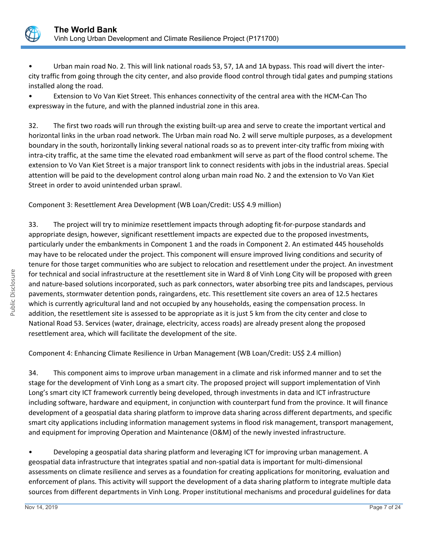

Urban main road No. 2. This will link national roads 53, 57, 1A and 1A bypass. This road will divert the intercity traffic from going through the city center, and also provide flood control through tidal gates and pumping stations installed along the road.

• Extension to Vo Van Kiet Street. This enhances connectivity of the central area with the HCM-Can Tho expressway in the future, and with the planned industrial zone in this area.

32. The first two roads will run through the existing built-up area and serve to create the important vertical and horizontal links in the urban road network. The Urban main road No. 2 will serve multiple purposes, as a development boundary in the south, horizontally linking several national roads so as to prevent inter-city traffic from mixing with intra-city traffic, at the same time the elevated road embankment will serve as part of the flood control scheme. The extension to Vo Van Kiet Street is a major transport link to connect residents with jobs in the industrial areas. Special attention will be paid to the development control along urban main road No. 2 and the extension to Vo Van Kiet Street in order to avoid unintended urban sprawl.

Component 3: Resettlement Area Development (WB Loan/Credit: US\$ 4.9 million)

33. The project will try to minimize resettlement impacts through adopting fit-for-purpose standards and appropriate design, however, significant resettlement impacts are expected due to the proposed investments, particularly under the embankments in Component 1 and the roads in Component 2. An estimated 445 households may have to be relocated under the project. This component will ensure improved living conditions and security of tenure for those target communities who are subject to relocation and resettlement under the project. An investment for technical and social infrastructure at the resettlement site in Ward 8 of Vinh Long City will be proposed with green and nature-based solutions incorporated, such as park connectors, water absorbing tree pits and landscapes, pervious pavements, stormwater detention ponds, raingardens, etc. This resettlement site covers an area of 12.5 hectares which is currently agricultural land and not occupied by any households, easing the compensation process. In addition, the resettlement site is assessed to be appropriate as it is just 5 km from the city center and close to National Road 53. Services (water, drainage, electricity, access roads) are already present along the proposed resettlement area, which will facilitate the development of the site.

Component 4: Enhancing Climate Resilience in Urban Management (WB Loan/Credit: US\$ 2.4 million)

34. This component aims to improve urban management in a climate and risk informed manner and to set the stage for the development of Vinh Long as a smart city. The proposed project will support implementation of Vinh Long's smart city ICT framework currently being developed, through investments in data and ICT infrastructure including software, hardware and equipment, in conjunction with counterpart fund from the province. It will finance development of a geospatial data sharing platform to improve data sharing across different departments, and specific smart city applications including information management systems in flood risk management, transport management, and equipment for improving Operation and Maintenance (O&M) of the newly invested infrastructure.

• Developing a geospatial data sharing platform and leveraging ICT for improving urban management. A geospatial data infrastructure that integrates spatial and non-spatial data is important for multi-dimensional assessments on climate resilience and serves as a foundation for creating applications for monitoring, evaluation and enforcement of plans. This activity will support the development of a data sharing platform to integrate multiple data sources from different departments in Vinh Long. Proper institutional mechanisms and procedural guidelines for data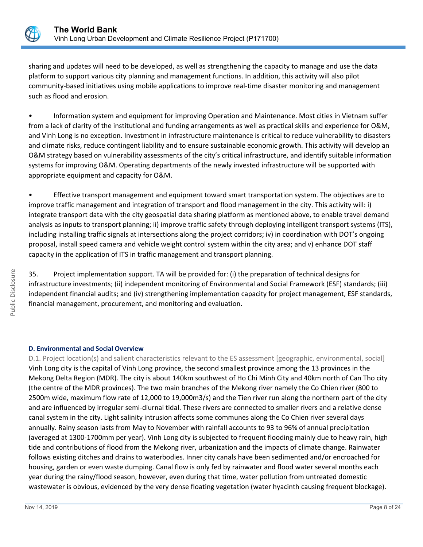

sharing and updates will need to be developed, as well as strengthening the capacity to manage and use the data platform to support various city planning and management functions. In addition, this activity will also pilot community-based initiatives using mobile applications to improve real-time disaster monitoring and management such as flood and erosion.

• Information system and equipment for improving Operation and Maintenance. Most cities in Vietnam suffer from a lack of clarity of the institutional and funding arrangements as well as practical skills and experience for O&M, and Vinh Long is no exception. Investment in infrastructure maintenance is critical to reduce vulnerability to disasters and climate risks, reduce contingent liability and to ensure sustainable economic growth. This activity will develop an O&M strategy based on vulnerability assessments of the city's critical infrastructure, and identify suitable information systems for improving O&M. Operating departments of the newly invested infrastructure will be supported with appropriate equipment and capacity for O&M.

• Effective transport management and equipment toward smart transportation system. The objectives are to improve traffic management and integration of transport and flood management in the city. This activity will: i) integrate transport data with the city geospatial data sharing platform as mentioned above, to enable travel demand analysis as inputs to transport planning; ii) improve traffic safety through deploying intelligent transport systems (ITS), including installing traffic signals at intersections along the project corridors; iv) in coordination with DOT's ongoing proposal, install speed camera and vehicle weight control system within the city area; and v) enhance DOT staff capacity in the application of ITS in traffic management and transport planning.

35. Project implementation support. TA will be provided for: (i) the preparation of technical designs for infrastructure investments; (ii) independent monitoring of Environmental and Social Framework (ESF) standards; (iii) independent financial audits; and (iv) strengthening implementation capacity for project management, ESF standards, financial management, procurement, and monitoring and evaluation.

## **D. Environmental and Social Overview**

D.1. Project location(s) and salient characteristics relevant to the ES assessment [geographic, environmental, social] Vinh Long city is the capital of Vinh Long province, the second smallest province among the 13 provinces in the Mekong Delta Region (MDR). The city is about 140km southwest of Ho Chi Minh City and 40km north of Can Tho city (the centre of the MDR provinces). The two main branches of the Mekong river namely the Co Chien river (800 to 2500m wide, maximum flow rate of 12,000 to 19,000m3/s) and the Tien river run along the northern part of the city and are influenced by irregular semi-diurnal tidal. These rivers are connected to smaller rivers and a relative dense canal system in the city. Light salinity intrusion affects some communes along the Co Chien river several days annually. Rainy season lasts from May to November with rainfall accounts to 93 to 96% of annual precipitation (averaged at 1300-1700mm per year). Vinh Long city is subjected to frequent flooding mainly due to heavy rain, high tide and contributions of flood from the Mekong river, urbanization and the impacts of climate change. Rainwater follows existing ditches and drains to waterbodies. Inner city canals have been sedimented and/or encroached for housing, garden or even waste dumping. Canal flow is only fed by rainwater and flood water several months each year during the rainy/flood season, however, even during that time, water pollution from untreated domestic wastewater is obvious, evidenced by the very dense floating vegetation (water hyacinth causing frequent blockage).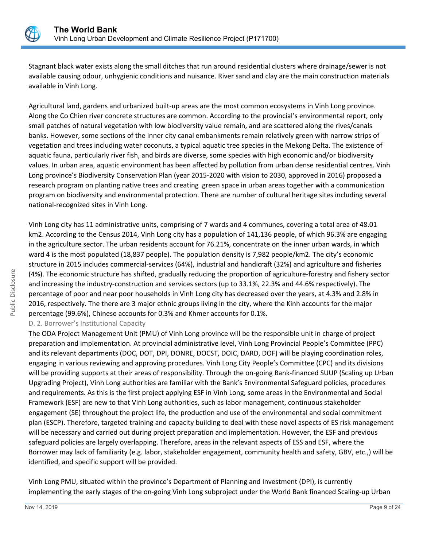

Stagnant black water exists along the small ditches that run around residential clusters where drainage/sewer is not available causing odour, unhygienic conditions and nuisance. River sand and clay are the main construction materials available in Vinh Long.

Agricultural land, gardens and urbanized built-up areas are the most common ecosystems in Vinh Long province. Along the Co Chien river concrete structures are common. According to the provincial's environmental report, only small patches of natural vegetation with low biodiversity value remain, and are scattered along the rives/canals banks. However, some sections of the inner city canal embankments remain relatively green with narrow strips of vegetation and trees including water coconuts, a typical aquatic tree species in the Mekong Delta. The existence of aquatic fauna, particularly river fish, and birds are diverse, some species with high economic and/or biodiversity values. In urban area, aquatic environment has been affected by pollution from urban dense residential centres. Vinh Long province's Biodiversity Conservation Plan (year 2015-2020 with vision to 2030, approved in 2016) proposed a research program on planting native trees and creating green space in urban areas together with a communication program on biodiversity and environmental protection. There are number of cultural heritage sites including several national-recognized sites in Vinh Long.

Vinh Long city has 11 administrative units, comprising of 7 wards and 4 communes, covering a total area of 48.01 km2. According to the Census 2014, Vinh Long city has a population of 141,136 people, of which 96.3% are engaging in the agriculture sector. The urban residents account for 76.21%, concentrate on the inner urban wards, in which ward 4 is the most populated (18,837 people). The population density is 7,982 people/km2. The city's economic structure in 2015 includes commercial-services (64%), industrial and handicraft (32%) and agriculture and fisheries (4%). The economic structure has shifted, gradually reducing the proportion of agriculture-forestry and fishery sector and increasing the industry-construction and services sectors (up to 33.1%, 22.3% and 44.6% respectively). The percentage of poor and near poor households in Vinh Long city has decreased over the years, at 4.3% and 2.8% in 2016, respectively. The there are 3 major ethnic groups living in the city, where the Kinh accounts for the major percentage (99.6%), Chinese accounts for 0.3% and Khmer accounts for 0.1%.

D. 2. Borrower's Institutional Capacity

The ODA Project Management Unit (PMU) of Vinh Long province will be the responsible unit in charge of project preparation and implementation. At provincial administrative level, Vinh Long Provincial People's Committee (PPC) and its relevant departments (DOC, DOT, DPI, DONRE, DOCST, DOIC, DARD, DOF) will be playing coordination roles, engaging in various reviewing and approving procedures. Vinh Long City People's Committee (CPC) and its divisions will be providing supports at their areas of responsibility. Through the on-going Bank-financed SUUP (Scaling up Urban Upgrading Project), Vinh Long authorities are familiar with the Bank's Environmental Safeguard policies, procedures and requirements. As this is the first project applying ESF in Vinh Long, some areas in the Environmental and Social Framework (ESF) are new to that Vinh Long authorities, such as labor management, continuous stakeholder engagement (SE) throughout the project life, the production and use of the environmental and social commitment plan (ESCP). Therefore, targeted training and capacity building to deal with these novel aspects of ES risk management will be necessary and carried out during project preparation and implementation. However, the ESF and previous safeguard policies are largely overlapping. Therefore, areas in the relevant aspects of ESS and ESF, where the Borrower may lack of familiarity (e.g. labor, stakeholder engagement, community health and safety, GBV, etc.,) will be identified, and specific support will be provided.

Vinh Long PMU, situated within the province's Department of Planning and Investment (DPI), is currently implementing the early stages of the on-going Vinh Long subproject under the World Bank financed Scaling-up Urban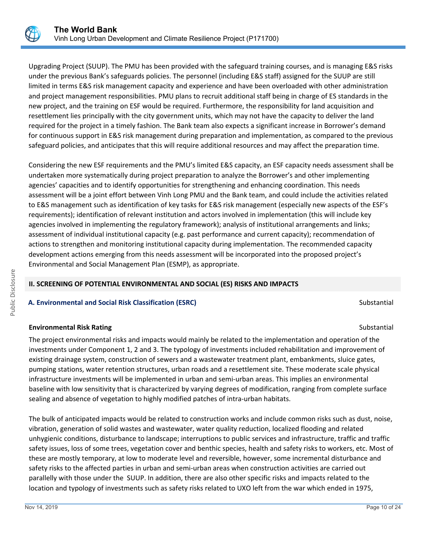

Upgrading Project (SUUP). The PMU has been provided with the safeguard training courses, and is managing E&S risks under the previous Bank's safeguards policies. The personnel (including E&S staff) assigned for the SUUP are still limited in terms E&S risk management capacity and experience and have been overloaded with other administration and project management responsibilities. PMU plans to recruit additional staff being in charge of ES standards in the new project, and the training on ESF would be required. Furthermore, the responsibility for land acquisition and resettlement lies principally with the city government units, which may not have the capacity to deliver the land required for the project in a timely fashion. The Bank team also expects a significant increase in Borrower's demand for continuous support in E&S risk management during preparation and implementation, as compared to the previous safeguard policies, and anticipates that this will require additional resources and may affect the preparation time.

Considering the new ESF requirements and the PMU's limited E&S capacity, an ESF capacity needs assessment shall be undertaken more systematically during project preparation to analyze the Borrower's and other implementing agencies' capacities and to identify opportunities for strengthening and enhancing coordination. This needs assessment will be a joint effort between Vinh Long PMU and the Bank team, and could include the activities related to E&S management such as identification of key tasks for E&S risk management (especially new aspects of the ESF's requirements); identification of relevant institution and actors involved in implementation (this will include key agencies involved in implementing the regulatory framework); analysis of institutional arrangements and links; assessment of individual institutional capacity (e.g. past performance and current capacity); recommendation of actions to strengthen and monitoring institutional capacity during implementation. The recommended capacity development actions emerging from this needs assessment will be incorporated into the proposed project's Environmental and Social Management Plan (ESMP), as appropriate.

# **II. SCREENING OF POTENTIAL ENVIRONMENTAL AND SOCIAL (ES) RISKS AND IMPACTS**

## **A. Environmental and Social Risk Classification (ESRC) Substantial Substantial Substantial** Substantial Substantial

# **Environmental Risk Rating Substantial Substantial Substantial Substantial Substantial Substantial Substantial Substantial Substantial Substantial Substantial Substantial Substantial Substantial Substantial Substantial Sub**

The project environmental risks and impacts would mainly be related to the implementation and operation of the investments under Component 1, 2 and 3. The typology of investments included rehabilitation and improvement of existing drainage system, construction of sewers and a wastewater treatment plant, embankments, sluice gates, pumping stations, water retention structures, urban roads and a resettlement site. These moderate scale physical infrastructure investments will be implemented in urban and semi-urban areas. This implies an environmental baseline with low sensitivity that is characterized by varying degrees of modification, ranging from complete surface sealing and absence of vegetation to highly modified patches of intra-urban habitats.

The bulk of anticipated impacts would be related to construction works and include common risks such as dust, noise, vibration, generation of solid wastes and wastewater, water quality reduction, localized flooding and related unhygienic conditions, disturbance to landscape; interruptions to public services and infrastructure, traffic and traffic safety issues, loss of some trees, vegetation cover and benthic species, health and safety risks to workers, etc. Most of these are mostly temporary, at low to moderate level and reversible, however, some incremental disturbance and safety risks to the affected parties in urban and semi-urban areas when construction activities are carried out parallelly with those under the SUUP. In addition, there are also other specific risks and impacts related to the location and typology of investments such as safety risks related to UXO left from the war which ended in 1975,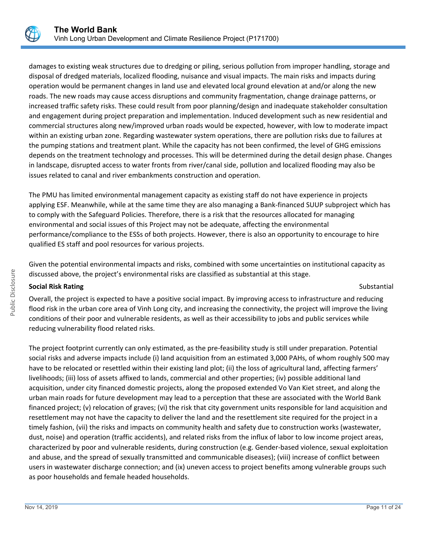

damages to existing weak structures due to dredging or piling, serious pollution from improper handling, storage and disposal of dredged materials, localized flooding, nuisance and visual impacts. The main risks and impacts during operation would be permanent changes in land use and elevated local ground elevation at and/or along the new roads. The new roads may cause access disruptions and community fragmentation, change drainage patterns, or increased traffic safety risks. These could result from poor planning/design and inadequate stakeholder consultation and engagement during project preparation and implementation. Induced development such as new residential and commercial structures along new/improved urban roads would be expected, however, with low to moderate impact within an existing urban zone. Regarding wastewater system operations, there are pollution risks due to failures at the pumping stations and treatment plant. While the capacity has not been confirmed, the level of GHG emissions depends on the treatment technology and processes. This will be determined during the detail design phase. Changes in landscape, disrupted access to water fronts from river/canal side, pollution and localized flooding may also be issues related to canal and river embankments construction and operation.

The PMU has limited environmental management capacity as existing staff do not have experience in projects applying ESF. Meanwhile, while at the same time they are also managing a Bank-financed SUUP subproject which has to comply with the Safeguard Policies. Therefore, there is a risk that the resources allocated for managing environmental and social issues of this Project may not be adequate, affecting the environmental performance/compliance to the ESSs of both projects. However, there is also an opportunity to encourage to hire qualified ES staff and pool resources for various projects.

Given the potential environmental impacts and risks, combined with some uncertainties on institutional capacity as discussed above, the project's environmental risks are classified as substantial at this stage.

## **Social Risk Rating** Substantial Substantial Substantial Substantial Substantial Substantial Substantial Substantial Substantial Substantial Substantial Substantial Substantial Substantial Substantial Substantial Substanti

Overall, the project is expected to have a positive social impact. By improving access to infrastructure and reducing flood risk in the urban core area of Vinh Long city, and increasing the connectivity, the project will improve the living conditions of their poor and vulnerable residents, as well as their accessibility to jobs and public services while reducing vulnerability flood related risks.

The project footprint currently can only estimated, as the pre-feasibility study is still under preparation. Potential social risks and adverse impacts include (i) land acquisition from an estimated 3,000 PAHs, of whom roughly 500 may have to be relocated or resettled within their existing land plot; (ii) the loss of agricultural land, affecting farmers' livelihoods; (iii) loss of assets affixed to lands, commercial and other properties; (iv) possible additional land acquisition, under city financed domestic projects, along the proposed extended Vo Van Kiet street, and along the urban main roads for future development may lead to a perception that these are associated with the World Bank financed project; (v) relocation of graves; (vi) the risk that city government units responsible for land acquisition and resettlement may not have the capacity to deliver the land and the resettlement site required for the project in a timely fashion, (vii) the risks and impacts on community health and safety due to construction works (wastewater, dust, noise) and operation (traffic accidents), and related risks from the influx of labor to low income project areas, characterized by poor and vulnerable residents, during construction (e.g. Gender-based violence, sexual exploitation and abuse, and the spread of sexually transmitted and communicable diseases); (viii) increase of conflict between users in wastewater discharge connection; and (ix) uneven access to project benefits among vulnerable groups such as poor households and female headed households.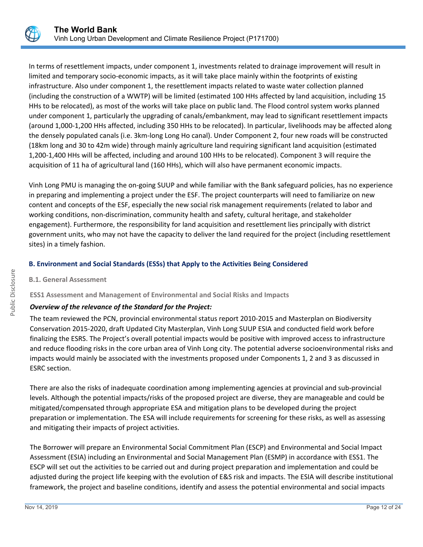

In terms of resettlement impacts, under component 1, investments related to drainage improvement will result in limited and temporary socio-economic impacts, as it will take place mainly within the footprints of existing infrastructure. Also under component 1, the resettlement impacts related to waste water collection planned (including the construction of a WWTP) will be limited (estimated 100 HHs affected by land acquisition, including 15 HHs to be relocated), as most of the works will take place on public land. The Flood control system works planned under component 1, particularly the upgrading of canals/embankment, may lead to significant resettlement impacts (around 1,000-1,200 HHs affected, including 350 HHs to be relocated). In particular, livelihoods may be affected along the densely populated canals (i.e. 3km-long Long Ho canal). Under Component 2, four new roads will be constructed (18km long and 30 to 42m wide) through mainly agriculture land requiring significant land acquisition (estimated 1,200-1,400 HHs will be affected, including and around 100 HHs to be relocated). Component 3 will require the acquisition of 11 ha of agricultural land (160 HHs), which will also have permanent economic impacts.

Vinh Long PMU is managing the on-going SUUP and while familiar with the Bank safeguard policies, has no experience in preparing and implementing a project under the ESF. The project counterparts will need to familiarize on new content and concepts of the ESF, especially the new social risk management requirements (related to labor and working conditions, non-discrimination, community health and safety, cultural heritage, and stakeholder engagement). Furthermore, the responsibility for land acquisition and resettlement lies principally with district government units, who may not have the capacity to deliver the land required for the project (including resettlement sites) in a timely fashion.

# **B. Environment and Social Standards (ESSs) that Apply to the Activities Being Considered**

## **B.1. General Assessment**

## **ESS1 Assessment and Management of Environmental and Social Risks and Impacts**

# *Overview of the relevance of the Standard for the Project:*

The team reviewed the PCN, provincial environmental status report 2010-2015 and Masterplan on Biodiversity Conservation 2015-2020, draft Updated City Masterplan, Vinh Long SUUP ESIA and conducted field work before finalizing the ESRS. The Project's overall potential impacts would be positive with improved access to infrastructure and reduce flooding risks in the core urban area of Vinh Long city. The potential adverse socioenvironmental risks and impacts would mainly be associated with the investments proposed under Components 1, 2 and 3 as discussed in ESRC section.

There are also the risks of inadequate coordination among implementing agencies at provincial and sub-provincial levels. Although the potential impacts/risks of the proposed project are diverse, they are manageable and could be mitigated/compensated through appropriate ESA and mitigation plans to be developed during the project preparation or implementation. The ESA will include requirements for screening for these risks, as well as assessing and mitigating their impacts of project activities.

The Borrower will prepare an Environmental Social Commitment Plan (ESCP) and Environmental and Social Impact Assessment (ESIA) including an Environmental and Social Management Plan (ESMP) in accordance with ESS1. The ESCP will set out the activities to be carried out and during project preparation and implementation and could be adjusted during the project life keeping with the evolution of E&S risk and impacts. The ESIA will describe institutional framework, the project and baseline conditions, identify and assess the potential environmental and social impacts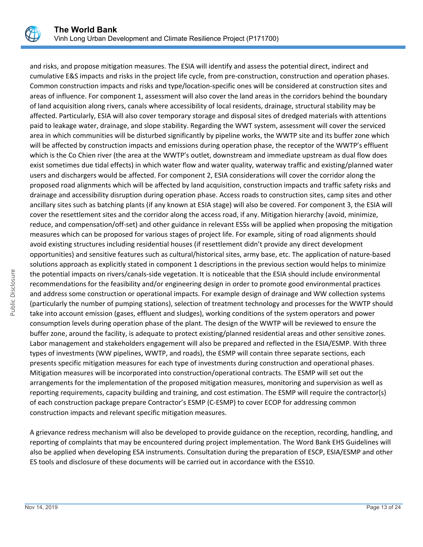

and risks, and propose mitigation measures. The ESIA will identify and assess the potential direct, indirect and cumulative E&S impacts and risks in the project life cycle, from pre-construction, construction and operation phases. Common construction impacts and risks and type/location-specific ones will be considered at construction sites and areas of influence. For component 1, assessment will also cover the land areas in the corridors behind the boundary of land acquisition along rivers, canals where accessibility of local residents, drainage, structural stability may be affected. Particularly, ESIA will also cover temporary storage and disposal sites of dredged materials with attentions paid to leakage water, drainage, and slope stability. Regarding the WWT system, assessment will cover the serviced area in which communities will be disturbed significantly by pipeline works, the WWTP site and its buffer zone which will be affected by construction impacts and emissions during operation phase, the receptor of the WWTP's effluent which is the Co Chien river (the area at the WWTP's outlet, downstream and immediate upstream as dual flow does exist sometimes due tidal effects) in which water flow and water quality, waterway traffic and existing/planned water users and dischargers would be affected. For component 2, ESIA considerations will cover the corridor along the proposed road alignments which will be affected by land acquisition, construction impacts and traffic safety risks and drainage and accessibility disruption during operation phase. Access roads to construction sites, camp sites and other ancillary sites such as batching plants (if any known at ESIA stage) will also be covered. For component 3, the ESIA will cover the resettlement sites and the corridor along the access road, if any. Mitigation hierarchy (avoid, minimize, reduce, and compensation/off-set) and other guidance in relevant ESSs will be applied when proposing the mitigation measures which can be proposed for various stages of project life. For example, siting of road alignments should avoid existing structures including residential houses (if resettlement didn't provide any direct development opportunities) and sensitive features such as cultural/historical sites, army base, etc. The application of nature-based solutions approach as explicitly stated in component 1 descriptions in the previous section would helps to minimize the potential impacts on rivers/canals-side vegetation. It is noticeable that the ESIA should include environmental recommendations for the feasibility and/or engineering design in order to promote good environmental practices and address some construction or operational impacts. For example design of drainage and WW collection systems (particularly the number of pumping stations), selection of treatment technology and processes for the WWTP should take into account emission (gases, effluent and sludges), working conditions of the system operators and power consumption levels during operation phase of the plant. The design of the WWTP will be reviewed to ensure the buffer zone, around the facility, is adequate to protect existing/planned residential areas and other sensitive zones. Labor management and stakeholders engagement will also be prepared and reflected in the ESIA/ESMP. With three types of investments (WW pipelines, WWTP, and roads), the ESMP will contain three separate sections, each presents specific mitigation measures for each type of investments during construction and operational phases. Mitigation measures will be incorporated into construction/operational contracts. The ESMP will set out the arrangements for the implementation of the proposed mitigation measures, monitoring and supervision as well as reporting requirements, capacity building and training, and cost estimation. The ESMP will require the contractor(s) of each construction package prepare Contractor's ESMP (C-ESMP) to cover ECOP for addressing common construction impacts and relevant specific mitigation measures.

A grievance redress mechanism will also be developed to provide guidance on the reception, recording, handling, and reporting of complaints that may be encountered during project implementation. The Word Bank EHS Guidelines will also be applied when developing ESA instruments. Consultation during the preparation of ESCP, ESIA/ESMP and other ES tools and disclosure of these documents will be carried out in accordance with the ESS10.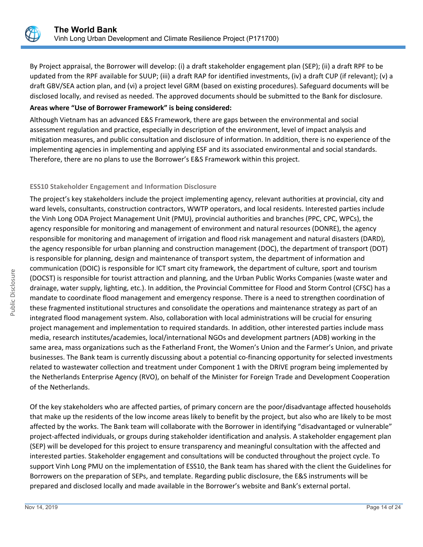

By Project appraisal, the Borrower will develop: (i) a draft stakeholder engagement plan (SEP); (ii) a draft RPF to be updated from the RPF available for SUUP; (iii) a draft RAP for identified investments, (iv) a draft CUP (if relevant); (v) a draft GBV/SEA action plan, and (vi) a project level GRM (based on existing procedures). Safeguard documents will be disclosed locally, and revised as needed. The approved documents should be submitted to the Bank for disclosure.

## **Areas where "Use of Borrower Framework" is being considered:**

Although Vietnam has an advanced E&S Framework, there are gaps between the environmental and social assessment regulation and practice, especially in description of the environment, level of impact analysis and mitigation measures, and public consultation and disclosure of information. In addition, there is no experience of the implementing agencies in implementing and applying ESF and its associated environmental and social standards. Therefore, there are no plans to use the Borrower's E&S Framework within this project.

## **ESS10 Stakeholder Engagement and Information Disclosure**

The project's key stakeholders include the project implementing agency, relevant authorities at provincial, city and ward levels, consultants, construction contractors, WWTP operators, and local residents. Interested parties include the Vinh Long ODA Project Management Unit (PMU), provincial authorities and branches (PPC, CPC, WPCs), the agency responsible for monitoring and management of environment and natural resources (DONRE), the agency responsible for monitoring and management of irrigation and flood risk management and natural disasters (DARD), the agency responsible for urban planning and construction management (DOC), the department of transport (DOT) is responsible for planning, design and maintenance of transport system, the department of information and communication (DOIC) is responsible for ICT smart city framework, the department of culture, sport and tourism (DOCST) is responsible for tourist attraction and planning, and the Urban Public Works Companies (waste water and drainage, water supply, lighting, etc.). In addition, the Provincial Committee for Flood and Storm Control (CFSC) has a mandate to coordinate flood management and emergency response. There is a need to strengthen coordination of these fragmented institutional structures and consolidate the operations and maintenance strategy as part of an integrated flood management system. Also, collaboration with local administrations will be crucial for ensuring project management and implementation to required standards. In addition, other interested parties include mass media, research institutes/academies, local/international NGOs and development partners (ADB) working in the same area, mass organizations such as the Fatherland Front, the Women's Union and the Farmer's Union, and private businesses. The Bank team is currently discussing about a potential co-financing opportunity for selected investments related to wastewater collection and treatment under Component 1 with the DRIVE program being implemented by the Netherlands Enterprise Agency (RVO), on behalf of the Minister for Foreign Trade and Development Cooperation of the Netherlands.

Of the key stakeholders who are affected parties, of primary concern are the poor/disadvantage affected households that make up the residents of the low income areas likely to benefit by the project, but also who are likely to be most affected by the works. The Bank team will collaborate with the Borrower in identifying "disadvantaged or vulnerable" project-affected individuals, or groups during stakeholder identification and analysis. A stakeholder engagement plan (SEP) will be developed for this project to ensure transparency and meaningful consultation with the affected and interested parties. Stakeholder engagement and consultations will be conducted throughout the project cycle. To support Vinh Long PMU on the implementation of ESS10, the Bank team has shared with the client the Guidelines for Borrowers on the preparation of SEPs, and template. Regarding public disclosure, the E&S instruments will be prepared and disclosed locally and made available in the Borrower's website and Bank's external portal.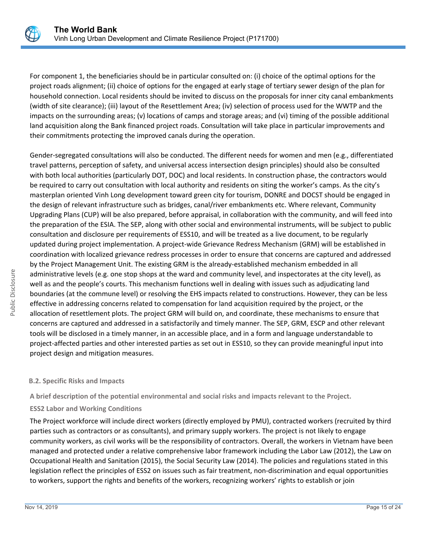

For component 1, the beneficiaries should be in particular consulted on: (i) choice of the optimal options for the project roads alignment; (ii) choice of options for the engaged at early stage of tertiary sewer design of the plan for household connection. Local residents should be invited to discuss on the proposals for inner city canal embankments (width of site clearance); (iii) layout of the Resettlement Area; (iv) selection of process used for the WWTP and the impacts on the surrounding areas; (v) locations of camps and storage areas; and (vi) timing of the possible additional land acquisition along the Bank financed project roads. Consultation will take place in particular improvements and their commitments protecting the improved canals during the operation.

Gender-segregated consultations will also be conducted. The different needs for women and men (e.g., differentiated travel patterns, perception of safety, and universal access intersection design principles) should also be consulted with both local authorities (particularly DOT, DOC) and local residents. In construction phase, the contractors would be required to carry out consultation with local authority and residents on siting the worker's camps. As the city's masterplan oriented Vinh Long development toward green city for tourism, DONRE and DOCST should be engaged in the design of relevant infrastructure such as bridges, canal/river embankments etc. Where relevant, Community Upgrading Plans (CUP) will be also prepared, before appraisal, in collaboration with the community, and will feed into the preparation of the ESIA. The SEP, along with other social and environmental instruments, will be subject to public consultation and disclosure per requirements of ESS10, and will be treated as a live document, to be regularly updated during project implementation. A project-wide Grievance Redress Mechanism (GRM) will be established in coordination with localized grievance redress processes in order to ensure that concerns are captured and addressed by the Project Management Unit. The existing GRM is the already-established mechanism embedded in all administrative levels (e.g. one stop shops at the ward and community level, and inspectorates at the city level), as well as and the people's courts. This mechanism functions well in dealing with issues such as adjudicating land boundaries (at the commune level) or resolving the EHS impacts related to constructions. However, they can be less effective in addressing concerns related to compensation for land acquisition required by the project, or the allocation of resettlement plots. The project GRM will build on, and coordinate, these mechanisms to ensure that concerns are captured and addressed in a satisfactorily and timely manner. The SEP, GRM, ESCP and other relevant tools will be disclosed in a timely manner, in an accessible place, and in a form and language understandable to project-affected parties and other interested parties as set out in ESS10, so they can provide meaningful input into project design and mitigation measures.

## **B.2. Specific Risks and Impacts**

**A brief description of the potential environmental and social risks and impacts relevant to the Project.**

# **ESS2 Labor and Working Conditions**

The Project workforce will include direct workers (directly employed by PMU), contracted workers (recruited by third parties such as contractors or as consultants), and primary supply workers. The project is not likely to engage community workers, as civil works will be the responsibility of contractors. Overall, the workers in Vietnam have been managed and protected under a relative comprehensive labor framework including the Labor Law (2012), the Law on Occupational Health and Sanitation (2015), the Social Security Law (2014). The policies and regulations stated in this legislation reflect the principles of ESS2 on issues such as fair treatment, non-discrimination and equal opportunities to workers, support the rights and benefits of the workers, recognizing workers' rights to establish or join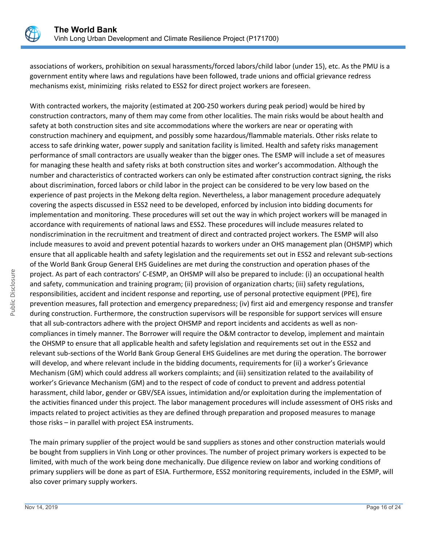

associations of workers, prohibition on sexual harassments/forced labors/child labor (under 15), etc. As the PMU is a government entity where laws and regulations have been followed, trade unions and official grievance redress mechanisms exist, minimizing risks related to ESS2 for direct project workers are foreseen.

With contracted workers, the majority (estimated at 200-250 workers during peak period) would be hired by construction contractors, many of them may come from other localities. The main risks would be about health and safety at both construction sites and site accommodations where the workers are near or operating with construction machinery and equipment, and possibly some hazardous/flammable materials. Other risks relate to access to safe drinking water, power supply and sanitation facility is limited. Health and safety risks management performance of small contractors are usually weaker than the bigger ones. The ESMP will include a set of measures for managing these health and safety risks at both construction sites and worker's accommodation. Although the number and characteristics of contracted workers can only be estimated after construction contract signing, the risks about discrimination, forced labors or child labor in the project can be considered to be very low based on the experience of past projects in the Mekong delta region. Nevertheless, a labor management procedure adequately covering the aspects discussed in ESS2 need to be developed, enforced by inclusion into bidding documents for implementation and monitoring. These procedures will set out the way in which project workers will be managed in accordance with requirements of national laws and ESS2. These procedures will include measures related to nondiscrimination in the recruitment and treatment of direct and contracted project workers. The ESMP will also include measures to avoid and prevent potential hazards to workers under an OHS management plan (OHSMP) which ensure that all applicable health and safety legislation and the requirements set out in ESS2 and relevant sub-sections of the World Bank Group General EHS Guidelines are met during the construction and operation phases of the project. As part of each contractors' C-ESMP, an OHSMP will also be prepared to include: (i) an occupational health and safety, communication and training program; (ii) provision of organization charts; (iii) safety regulations, responsibilities, accident and incident response and reporting, use of personal protective equipment (PPE), fire prevention measures, fall protection and emergency preparedness; (iv) first aid and emergency response and transfer during construction. Furthermore, the construction supervisors will be responsible for support services will ensure that all sub-contractors adhere with the project OHSMP and report incidents and accidents as well as noncompliances in timely manner. The Borrower will require the O&M contractor to develop, implement and maintain the OHSMP to ensure that all applicable health and safety legislation and requirements set out in the ESS2 and relevant sub-sections of the World Bank Group General EHS Guidelines are met during the operation. The borrower will develop, and where relevant include in the bidding documents, requirements for (ii) a worker's Grievance Mechanism (GM) which could address all workers complaints; and (iii) sensitization related to the availability of worker's Grievance Mechanism (GM) and to the respect of code of conduct to prevent and address potential harassment, child labor, gender or GBV/SEA issues, intimidation and/or exploitation during the implementation of the activities financed under this project. The labor management procedures will include assessment of OHS risks and impacts related to project activities as they are defined through preparation and proposed measures to manage those risks – in parallel with project ESA instruments.

The main primary supplier of the project would be sand suppliers as stones and other construction materials would be bought from suppliers in Vinh Long or other provinces. The number of project primary workers is expected to be limited, with much of the work being done mechanically. Due diligence review on labor and working conditions of primary suppliers will be done as part of ESIA. Furthermore, ESS2 monitoring requirements, included in the ESMP, will also cover primary supply workers.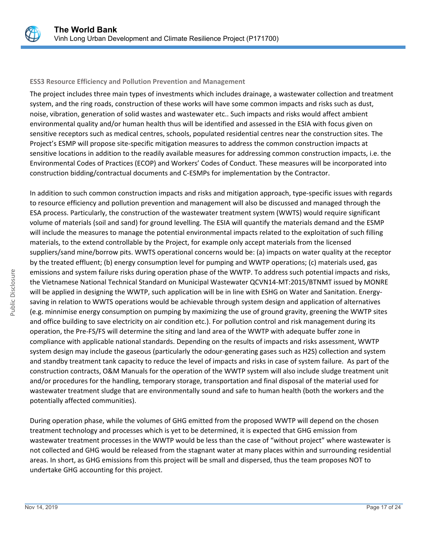

## **ESS3 Resource Efficiency and Pollution Prevention and Management**

The project includes three main types of investments which includes drainage, a wastewater collection and treatment system, and the ring roads, construction of these works will have some common impacts and risks such as dust, noise, vibration, generation of solid wastes and wastewater etc.. Such impacts and risks would affect ambient environmental quality and/or human health thus will be identified and assessed in the ESIA with focus given on sensitive receptors such as medical centres, schools, populated residential centres near the construction sites. The Project's ESMP will propose site-specific mitigation measures to address the common construction impacts at sensitive locations in addition to the readily available measures for addressing common construction impacts, i.e. the Environmental Codes of Practices (ECOP) and Workers' Codes of Conduct. These measures will be incorporated into construction bidding/contractual documents and C-ESMPs for implementation by the Contractor.

In addition to such common construction impacts and risks and mitigation approach, type-specific issues with regards to resource efficiency and pollution prevention and management will also be discussed and managed through the ESA process. Particularly, the construction of the wastewater treatment system (WWTS) would require significant volume of materials (soil and sand) for ground levelling. The ESIA will quantify the materials demand and the ESMP will include the measures to manage the potential environmental impacts related to the exploitation of such filling materials, to the extend controllable by the Project, for example only accept materials from the licensed suppliers/sand mine/borrow pits. WWTS operational concerns would be: (a) impacts on water quality at the receptor by the treated effluent; (b) energy consumption level for pumping and WWTP operations; (c) materials used, gas emissions and system failure risks during operation phase of the WWTP. To address such potential impacts and risks, the Vietnamese National Technical Standard on Municipal Wastewater QCVN14-MT:2015/BTNMT issued by MONRE will be applied in designing the WWTP, such application will be in line with ESHG on Water and Sanitation. Energysaving in relation to WWTS operations would be achievable through system design and application of alternatives (e.g. minnimise energy consumption on pumping by maximizing the use of ground gravity, greening the WWTP sites and office building to save electricity on air condition etc.). For pollution control and risk management during its operation, the Pre-FS/FS will determine the siting and land area of the WWTP with adequate buffer zone in compliance with applicable national standards. Depending on the results of impacts and risks assessment, WWTP system design may include the gaseous (particularly the odour-generating gases such as H2S) collection and system and standby treatment tank capacity to reduce the level of impacts and risks in case of system failure. As part of the construction contracts, O&M Manuals for the operation of the WWTP system will also include sludge treatment unit and/or procedures for the handling, temporary storage, transportation and final disposal of the material used for wastewater treatment sludge that are environmentally sound and safe to human health (both the workers and the potentially affected communities).

During operation phase, while the volumes of GHG emitted from the proposed WWTP will depend on the chosen treatment technology and processes which is yet to be determined, it is expected that GHG emission from wastewater treatment processes in the WWTP would be less than the case of "without project" where wastewater is not collected and GHG would be released from the stagnant water at many places within and surrounding residential areas. In short, as GHG emissions from this project will be small and dispersed, thus the team proposes NOT to undertake GHG accounting for this project.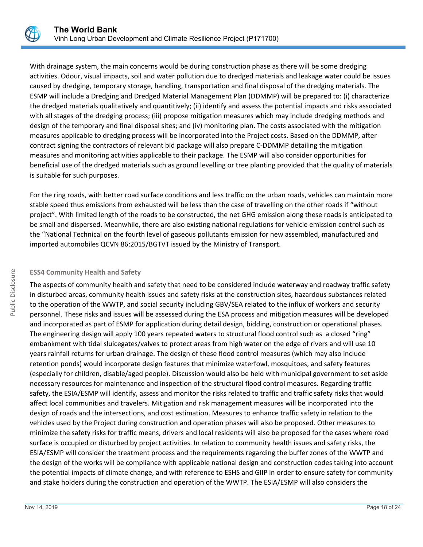

With drainage system, the main concerns would be during construction phase as there will be some dredging activities. Odour, visual impacts, soil and water pollution due to dredged materials and leakage water could be issues caused by dredging, temporary storage, handling, transportation and final disposal of the dredging materials. The ESMP will include a Dredging and Dredged Material Management Plan (DDMMP) will be prepared to: (i) characterize the dredged materials qualitatively and quantitively; (ii) identify and assess the potential impacts and risks associated with all stages of the dredging process; (iii) propose mitigation measures which may include dredging methods and design of the temporary and final disposal sites; and (iv) monitoring plan. The costs associated with the mitigation measures applicable to dredging process will be incorporated into the Project costs. Based on the DDMMP, after contract signing the contractors of relevant bid package will also prepare C-DDMMP detailing the mitigation measures and monitoring activities applicable to their package. The ESMP will also consider opportunities for beneficial use of the dredged materials such as ground levelling or tree planting provided that the quality of materials is suitable for such purposes.

For the ring roads, with better road surface conditions and less traffic on the urban roads, vehicles can maintain more stable speed thus emissions from exhausted will be less than the case of travelling on the other roads if "without project". With limited length of the roads to be constructed, the net GHG emission along these roads is anticipated to be small and dispersed. Meanwhile, there are also existing national regulations for vehicle emission control such as the "National Technical on the fourth level of gaseous pollutants emission for new assembled, manufactured and imported automobiles QCVN 86:2015/BGTVT issued by the Ministry of Transport.

## **ESS4 Community Health and Safety**

The aspects of community health and safety that need to be considered include waterway and roadway traffic safety in disturbed areas, community health issues and safety risks at the construction sites, hazardous substances related to the operation of the WWTP, and social security including GBV/SEA related to the influx of workers and security personnel. These risks and issues will be assessed during the ESA process and mitigation measures will be developed and incorporated as part of ESMP for application during detail design, bidding, construction or operational phases. The engineering design will apply 100 years repeated waters to structural flood control such as a closed "ring" embankment with tidal sluicegates/valves to protect areas from high water on the edge of rivers and will use 10 years rainfall returns for urban drainage. The design of these flood control measures (which may also include retention ponds) would incorporate design features that minimize waterfowl, mosquitoes, and safety features (especially for children, disable/aged people). Discussion would also be held with municipal government to set aside necessary resources for maintenance and inspection of the structural flood control measures. Regarding traffic safety, the ESIA/ESMP will identify, assess and monitor the risks related to traffic and traffic safety risks that would affect local communities and travelers. Mitigation and risk management measures will be incorporated into the design of roads and the intersections, and cost estimation. Measures to enhance traffic safety in relation to the vehicles used by the Project during construction and operation phases will also be proposed. Other measures to minimize the safety risks for traffic means, drivers and local residents will also be proposed for the cases where road surface is occupied or disturbed by project activities. In relation to community health issues and safety risks, the ESIA/ESMP will consider the treatment process and the requirements regarding the buffer zones of the WWTP and the design of the works will be compliance with applicable national design and construction codes taking into account the potential impacts of climate change, and with reference to ESHS and GIIP in order to ensure safety for community and stake holders during the construction and operation of the WWTP. The ESIA/ESMP will also considers the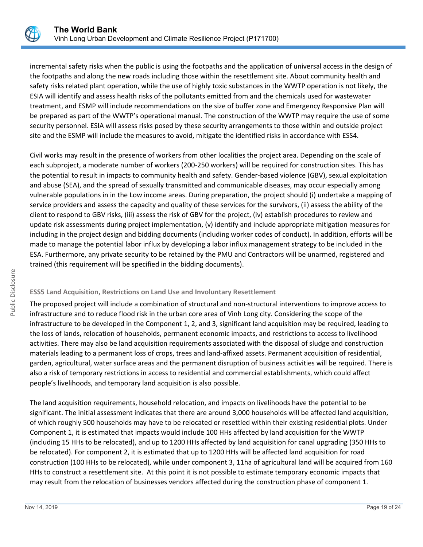

incremental safety risks when the public is using the footpaths and the application of universal access in the design of the footpaths and along the new roads including those within the resettlement site. About community health and safety risks related plant operation, while the use of highly toxic substances in the WWTP operation is not likely, the ESIA will identify and assess health risks of the pollutants emitted from and the chemicals used for wastewater treatment, and ESMP will include recommendations on the size of buffer zone and Emergency Responsive Plan will be prepared as part of the WWTP's operational manual. The construction of the WWTP may require the use of some security personnel. ESIA will assess risks posed by these security arrangements to those within and outside project site and the ESMP will include the measures to avoid, mitigate the identified risks in accordance with ESS4.

Civil works may result in the presence of workers from other localities the project area. Depending on the scale of each subproject, a moderate number of workers (200-250 workers) will be required for construction sites. This has the potential to result in impacts to community health and safety. Gender-based violence (GBV), sexual exploitation and abuse (SEA), and the spread of sexually transmitted and communicable diseases, may occur especially among vulnerable populations in in the Low income areas. During preparation, the project should (i) undertake a mapping of service providers and assess the capacity and quality of these services for the survivors, (ii) assess the ability of the client to respond to GBV risks, (iii) assess the risk of GBV for the project, (iv) establish procedures to review and update risk assessments during project implementation, (v) identify and include appropriate mitigation measures for including in the project design and bidding documents (including worker codes of conduct). In addition, efforts will be made to manage the potential labor influx by developing a labor influx management strategy to be included in the ESA. Furthermore, any private security to be retained by the PMU and Contractors will be unarmed, registered and trained (this requirement will be specified in the bidding documents).

# **ESS5 Land Acquisition, Restrictions on Land Use and Involuntary Resettlement**

The proposed project will include a combination of structural and non-structural interventions to improve access to infrastructure and to reduce flood risk in the urban core area of Vinh Long city. Considering the scope of the infrastructure to be developed in the Component 1, 2, and 3, significant land acquisition may be required, leading to the loss of lands, relocation of households, permanent economic impacts, and restrictions to access to livelihood activities. There may also be land acquisition requirements associated with the disposal of sludge and construction materials leading to a permanent loss of crops, trees and land-affixed assets. Permanent acquisition of residential, garden, agricultural, water surface areas and the permanent disruption of business activities will be required. There is also a risk of temporary restrictions in access to residential and commercial establishments, which could affect people's livelihoods, and temporary land acquisition is also possible.

The land acquisition requirements, household relocation, and impacts on livelihoods have the potential to be significant. The initial assessment indicates that there are around 3,000 households will be affected land acquisition, of which roughly 500 households may have to be relocated or resettled within their existing residential plots. Under Component 1, it is estimated that impacts would include 100 HHs affected by land acquisition for the WWTP (including 15 HHs to be relocated), and up to 1200 HHs affected by land acquisition for canal upgrading (350 HHs to be relocated). For component 2, it is estimated that up to 1200 HHs will be affected land acquisition for road construction (100 HHs to be relocated), while under component 3, 11ha of agricultural land will be acquired from 160 HHs to construct a resettlement site. At this point it is not possible to estimate temporary economic impacts that may result from the relocation of businesses vendors affected during the construction phase of component 1.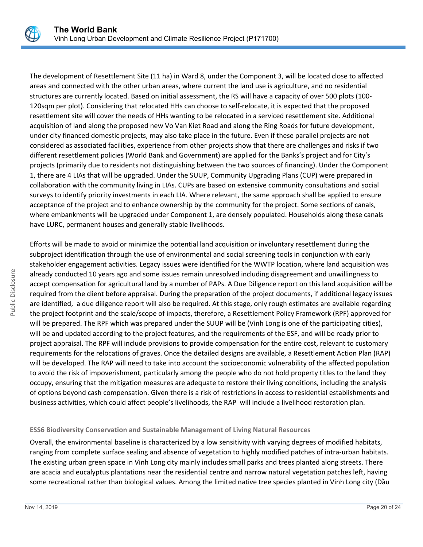

The development of Resettlement Site (11 ha) in Ward 8, under the Component 3, will be located close to affected areas and connected with the other urban areas, where current the land use is agriculture, and no residential structures are currently located. Based on initial assessment, the RS will have a capacity of over 500 plots (100- 120sqm per plot). Considering that relocated HHs can choose to self-relocate, it is expected that the proposed resettlement site will cover the needs of HHs wanting to be relocated in a serviced resettlement site. Additional acquisition of land along the proposed new Vo Van Kiet Road and along the Ring Roads for future development, under city financed domestic projects, may also take place in the future. Even if these parallel projects are not considered as associated facilities, experience from other projects show that there are challenges and risks if two different resettlement policies (World Bank and Government) are applied for the Banks's project and for City's projects (primarily due to residents not distinguishing between the two sources of financing). Under the Component 1, there are 4 LIAs that will be upgraded. Under the SUUP, Community Upgrading Plans (CUP) were prepared in collaboration with the community living in LIAs. CUPs are based on extensive community consultations and social surveys to identify priority investments in each LIA. Where relevant, the same approach shall be applied to ensure acceptance of the project and to enhance ownership by the community for the project. Some sections of canals, where embankments will be upgraded under Component 1, are densely populated. Households along these canals have LURC, permanent houses and generally stable livelihoods.

Efforts will be made to avoid or minimize the potential land acquisition or involuntary resettlement during the subproject identification through the use of environmental and social screening tools in conjunction with early stakeholder engagement activities. Legacy issues were identified for the WWTP location, where land acquisition was already conducted 10 years ago and some issues remain unresolved including disagreement and unwillingness to accept compensation for agricultural land by a number of PAPs. A Due Diligence report on this land acquisition will be required from the client before appraisal. During the preparation of the project documents, if additional legacy issues are identified, a due diligence report will also be required. At this stage, only rough estimates are available regarding the project footprint and the scale/scope of impacts, therefore, a Resettlement Policy Framework (RPF) approved for will be prepared. The RPF which was prepared under the SUUP will be (Vinh Long is one of the participating cities), will be and updated according to the project features, and the requirements of the ESF, and will be ready prior to project appraisal. The RPF will include provisions to provide compensation for the entire cost, relevant to customary requirements for the relocations of graves. Once the detailed designs are available, a Resettlement Action Plan (RAP) will be developed. The RAP will need to take into account the socioeconomic vulnerability of the affected population to avoid the risk of impoverishment, particularly among the people who do not hold property titles to the land they occupy, ensuring that the mitigation measures are adequate to restore their living conditions, including the analysis of options beyond cash compensation. Given there is a risk of restrictions in access to residential establishments and business activities, which could affect people's livelihoods, the RAP will include a livelihood restoration plan.

## **ESS6 Biodiversity Conservation and Sustainable Management of Living Natural Resources**

Overall, the environmental baseline is characterized by a low sensitivity with varying degrees of modified habitats, ranging from complete surface sealing and absence of vegetation to highly modified patches of intra-urban habitats. The existing urban green space in Vinh Long city mainly includes small parks and trees planted along streets. There are acacia and eucalyptus plantations near the residential centre and narrow natural vegetation patches left, having some recreational rather than biological values. Among the limited native tree species planted in Vinh Long city (Dầu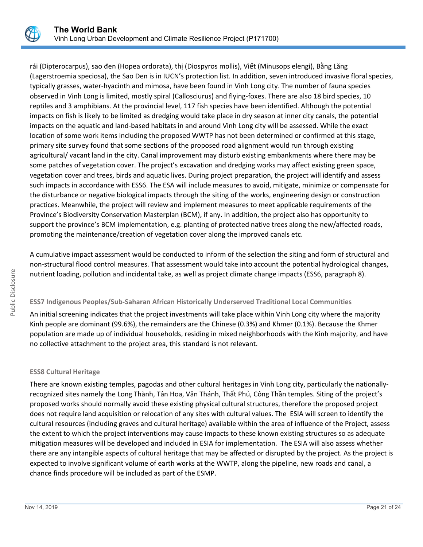

rái (Dipterocarpus), sao đen (Hopea ordorata), thị (Diospyros mollis), Viết (Minusops elengi), Bằng Lăng (Lagerstroemia speciosa), the Sao Den is in IUCN's protection list. In addition, seven introduced invasive floral species, typically grasses, water-hyacinth and mimosa, have been found in Vinh Long city. The number of fauna species observed in Vinh Long is limited, mostly spiral (Callosciurus) and flying-foxes. There are also 18 bird species, 10 reptiles and 3 amphibians. At the provincial level, 117 fish species have been identified. Although the potential impacts on fish is likely to be limited as dredging would take place in dry season at inner city canals, the potential impacts on the aquatic and land-based habitats in and around Vinh Long city will be assessed. While the exact location of some work items including the proposed WWTP has not been determined or confirmed at this stage, primary site survey found that some sections of the proposed road alignment would run through existing agricultural/ vacant land in the city. Canal improvement may disturb existing embankments where there may be some patches of vegetation cover. The project's excavation and dredging works may affect existing green space, vegetation cover and trees, birds and aquatic lives. During project preparation, the project will identify and assess such impacts in accordance with ESS6. The ESA will include measures to avoid, mitigate, minimize or compensate for the disturbance or negative biological impacts through the siting of the works, engineering design or construction practices. Meanwhile, the project will review and implement measures to meet applicable requirements of the Province's Biodiversity Conservation Masterplan (BCM), if any. In addition, the project also has opportunity to support the province's BCM implementation, e.g. planting of protected native trees along the new/affected roads, promoting the maintenance/creation of vegetation cover along the improved canals etc.

A cumulative impact assessment would be conducted to inform of the selection the siting and form of structural and non-structural flood control measures. That assessment would take into account the potential hydrological changes, nutrient loading, pollution and incidental take, as well as project climate change impacts (ESS6, paragraph 8).

# **ESS7 Indigenous Peoples/Sub-Saharan African Historically Underserved Traditional Local Communities**

An initial screening indicates that the project investments will take place within Vinh Long city where the majority Kinh people are dominant (99.6%), the remainders are the Chinese (0.3%) and Khmer (0.1%). Because the Khmer population are made up of individual households, residing in mixed neighborhoods with the Kinh majority, and have no collective attachment to the project area, this standard is not relevant.

# **ESS8 Cultural Heritage**

There are known existing temples, pagodas and other cultural heritages in Vinh Long city, particularly the nationallyrecognized sites namely the Long Thành, Tân Hoa, Văn Thánh, Thất Phủ, Công Thần temples. Siting of the project's proposed works should normally avoid these existing physical cultural structures, therefore the proposed project does not require land acquisition or relocation of any sites with cultural values. The ESIA will screen to identify the cultural resources (including graves and cultural heritage) available within the area of influence of the Project, assess the extent to which the project interventions may cause impacts to these known existing structures so as adequate mitigation measures will be developed and included in ESIA for implementation. The ESIA will also assess whether there are any intangible aspects of cultural heritage that may be affected or disrupted by the project. As the project is expected to involve significant volume of earth works at the WWTP, along the pipeline, new roads and canal, a chance finds procedure will be included as part of the ESMP.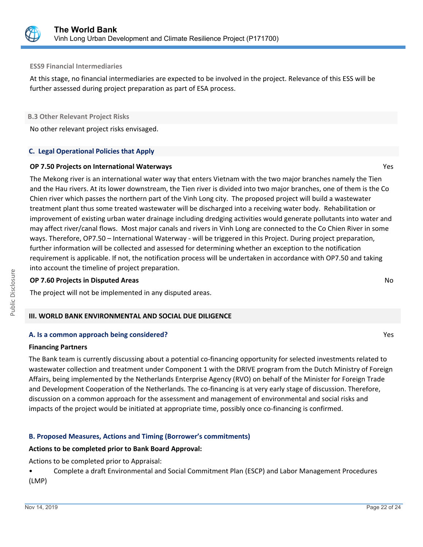

#### **ESS9 Financial Intermediaries**

At this stage, no financial intermediaries are expected to be involved in the project. Relevance of this ESS will be further assessed during project preparation as part of ESA process.

#### **B.3 Other Relevant Project Risks**

No other relevant project risks envisaged.

## **C. Legal Operational Policies that Apply**

## **OP 7.50 Projects on International Waterways** Yes

The Mekong river is an international water way that enters Vietnam with the two major branches namely the Tien and the Hau rivers. At its lower downstream, the Tien river is divided into two major branches, one of them is the Co Chien river which passes the northern part of the Vinh Long city. The proposed project will build a wastewater treatment plant thus some treated wastewater will be discharged into a receiving water body. Rehabilitation or improvement of existing urban water drainage including dredging activities would generate pollutants into water and may affect river/canal flows. Most major canals and rivers in Vinh Long are connected to the Co Chien River in some ways. Therefore, OP7.50 – International Waterway - will be triggered in this Project. During project preparation, further information will be collected and assessed for determining whether an exception to the notification requirement is applicable. If not, the notification process will be undertaken in accordance with OP7.50 and taking into account the timeline of project preparation.

## **OP 7.60 Projects in Disputed Areas** No

The project will not be implemented in any disputed areas.

## **III. WORLD BANK ENVIRONMENTAL AND SOCIAL DUE DILIGENCE**

## **A. Is a common approach being considered?** Yes

#### **Financing Partners**

The Bank team is currently discussing about a potential co-financing opportunity for selected investments related to wastewater collection and treatment under Component 1 with the DRIVE program from the Dutch Ministry of Foreign Affairs, being implemented by the Netherlands Enterprise Agency (RVO) on behalf of the Minister for Foreign Trade and Development Cooperation of the Netherlands. The co-financing is at very early stage of discussion. Therefore, discussion on a common approach for the assessment and management of environmental and social risks and impacts of the project would be initiated at appropriate time, possibly once co-financing is confirmed.

# **B. Proposed Measures, Actions and Timing (Borrower's commitments)**

## **Actions to be completed prior to Bank Board Approval:**

Actions to be completed prior to Appraisal:

• Complete a draft Environmental and Social Commitment Plan (ESCP) and Labor Management Procedures (LMP)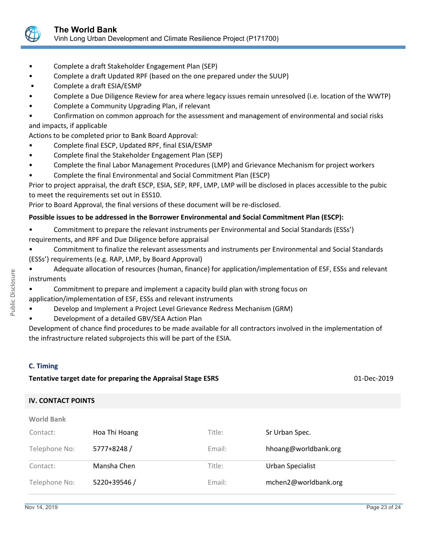

- Complete a draft Stakeholder Engagement Plan (SEP)
- Complete a draft Updated RPF (based on the one prepared under the SUUP)
- Complete a draft ESIA/ESMP
- Complete a Due Diligence Review for area where legacy issues remain unresolved (i.e. location of the WWTP)
- Complete a Community Upgrading Plan, if relevant
- Confirmation on common approach for the assessment and management of environmental and social risks and impacts, if applicable

Actions to be completed prior to Bank Board Approval:

- Complete final ESCP, Updated RPF, final ESIA/ESMP
- Complete final the Stakeholder Engagement Plan (SEP)
- Complete the final Labor Management Procedures (LMP) and Grievance Mechanism for project workers
- Complete the final Environmental and Social Commitment Plan (ESCP)

Prior to project appraisal, the draft ESCP, ESIA, SEP, RPF, LMP, LMP will be disclosed in places accessible to the pubic to meet the requirements set out in ESS10.

Prior to Board Approval, the final versions of these document will be re-disclosed.

# **Possible issues to be addressed in the Borrower Environmental and Social Commitment Plan (ESCP):**

- Commitment to prepare the relevant instruments per Environmental and Social Standards (ESSs')
- requirements, and RPF and Due Diligence before appraisal
- Commitment to finalize the relevant assessments and instruments per Environmental and Social Standards (ESSs') requirements (e.g. RAP, LMP, by Board Approval)
- Adequate allocation of resources (human, finance) for application/implementation of ESF, ESSs and relevant instruments
	- Commitment to prepare and implement a capacity build plan with strong focus on
- application/implementation of ESF, ESSs and relevant instruments
- Develop and Implement a Project Level Grievance Redress Mechanism (GRM)
- Development of a detailed GBV/SEA Action Plan
- Development of chance find procedures to be made available for all contractors involved in the implementation of the infrastructure related subprojects this will be part of the ESIA.

# **C. Timing**

**Tentative target date for preparing the Appraisal Stage ESRS** 01-Dec-2019

# **IV. CONTACT POINTS**

| <b>World Bank</b> |               |        |                      |
|-------------------|---------------|--------|----------------------|
| Contact:          | Hoa Thi Hoang | Title: | Sr Urban Spec.       |
| Telephone No:     | 5777+8248 /   | Email: | hhoang@worldbank.org |
| Contact:          | Mansha Chen   | Title: | Urban Specialist     |
| Telephone No:     | 5220+39546 /  | Email: | mchen2@worldbank.org |